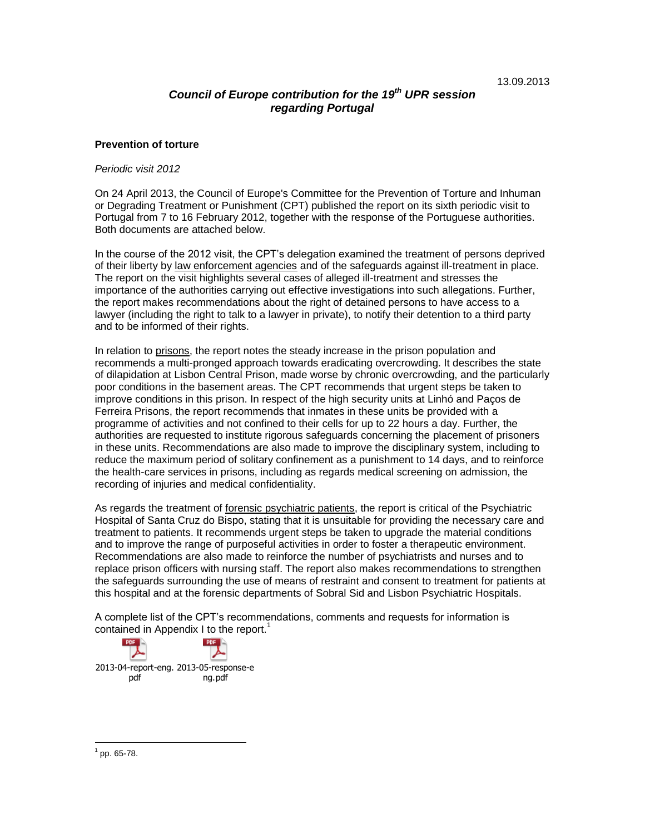# *Council of Europe contribution for the 19 th UPR session regarding Portugal*

### **Prevention of torture**

#### *Periodic visit 2012*

On 24 April 2013, the Council of Europe's Committee for the Prevention of Torture and Inhuman or Degrading Treatment or Punishment (CPT) published the report on its sixth periodic visit to Portugal from 7 to 16 February 2012, together with the response of the Portuguese authorities. Both documents are attached below.

In the course of the 2012 visit, the CPT's delegation examined the treatment of persons deprived of their liberty by law enforcement agencies and of the safeguards against ill-treatment in place. The report on the visit highlights several cases of alleged ill-treatment and stresses the importance of the authorities carrying out effective investigations into such allegations. Further, the report makes recommendations about the right of detained persons to have access to a lawyer (including the right to talk to a lawyer in private), to notify their detention to a third party and to be informed of their rights.

In relation to prisons, the report notes the steady increase in the prison population and recommends a multi-pronged approach towards eradicating overcrowding. It describes the state of dilapidation at Lisbon Central Prison, made worse by chronic overcrowding, and the particularly poor conditions in the basement areas. The CPT recommends that urgent steps be taken to improve conditions in this prison. In respect of the high security units at Linhó and Paços de Ferreira Prisons, the report recommends that inmates in these units be provided with a programme of activities and not confined to their cells for up to 22 hours a day. Further, the authorities are requested to institute rigorous safeguards concerning the placement of prisoners in these units. Recommendations are also made to improve the disciplinary system, including to reduce the maximum period of solitary confinement as a punishment to 14 days, and to reinforce the health-care services in prisons, including as regards medical screening on admission, the recording of injuries and medical confidentiality.

As regards the treatment of forensic psychiatric patients, the report is critical of the Psychiatric Hospital of Santa Cruz do Bispo, stating that it is unsuitable for providing the necessary care and treatment to patients. It recommends urgent steps be taken to upgrade the material conditions and to improve the range of purposeful activities in order to foster a therapeutic environment. Recommendations are also made to reinforce the number of psychiatrists and nurses and to replace prison officers with nursing staff. The report also makes recommendations to strengthen the safeguards surrounding the use of means of restraint and consent to treatment for patients at this hospital and at the forensic departments of Sobral Sid and Lisbon Psychiatric Hospitals.

A complete list of the CPT's recommendations, comments and requests for information is contained in Appendix I to the report.<sup>1</sup>



 $1$  pp. 65-78.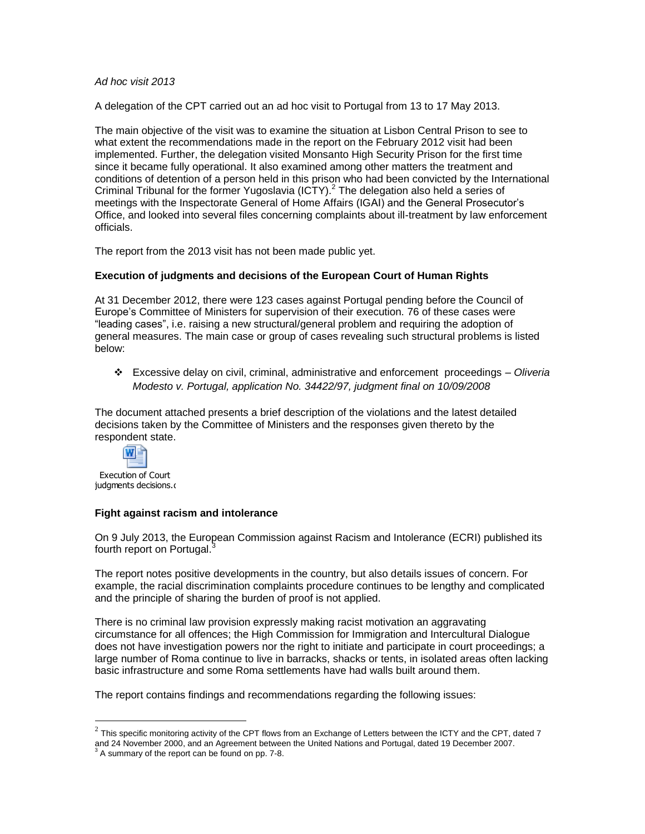### *Ad hoc visit 2013*

A delegation of the CPT carried out an ad hoc visit to Portugal from 13 to 17 May 2013.

The main objective of the visit was to examine the situation at Lisbon Central Prison to see to what extent the recommendations made in the report on the February 2012 visit had been implemented. Further, the delegation visited Monsanto High Security Prison for the first time since it became fully operational. It also examined among other matters the treatment and conditions of detention of a person held in this prison who had been convicted by the International Criminal Tribunal for the former Yugoslavia (ICTY). $^2$  The delegation also held a series of meetings with the Inspectorate General of Home Affairs (IGAI) and the General Prosecutor's Office, and looked into several files concerning complaints about ill-treatment by law enforcement officials.

The report from the 2013 visit has not been made public yet.

### **Execution of judgments and decisions of the European Court of Human Rights**

At 31 December 2012, there were 123 cases against Portugal pending before the Council of Europe's Committee of Ministers for supervision of their execution. 76 of these cases were "leading cases", i.e. raising a new structural/general problem and requiring the adoption of general measures. The main case or group of cases revealing such structural problems is listed below:

 Excessive delay on civil, criminal, administrative and enforcement proceedings – *Oliveria Modesto v. Portugal, application No. 34422/97, judgment final on 10/09/2008*

The document attached presents a brief description of the violations and the latest detailed decisions taken by the Committee of Ministers and the responses given thereto by the respondent state.



Execution of Court judgments decisions.d

 $\overline{a}$ 

### **Fight against racism and intolerance**

On 9 July 2013, the European Commission against Racism and Intolerance (ECRI) published its fourth report on Portugal.<sup>3</sup>

The report notes positive developments in the country, but also details issues of concern. For example, the racial discrimination complaints procedure continues to be lengthy and complicated and the principle of sharing the burden of proof is not applied.

There is no criminal law provision expressly making racist motivation an aggravating circumstance for all offences; the High Commission for Immigration and Intercultural Dialogue does not have investigation powers nor the right to initiate and participate in court proceedings; a large number of Roma continue to live in barracks, shacks or tents, in isolated areas often lacking basic infrastructure and some Roma settlements have had walls built around them.

The report contains findings and recommendations regarding the following issues:

 $^2$  This specific monitoring activity of the CPT flows from an Exchange of Letters between the ICTY and the CPT, dated 7 and 24 November 2000, and an Agreement between the United Nations and Portugal, dated 19 December 2007.

 $3$  A summary of the report can be found on pp. 7-8.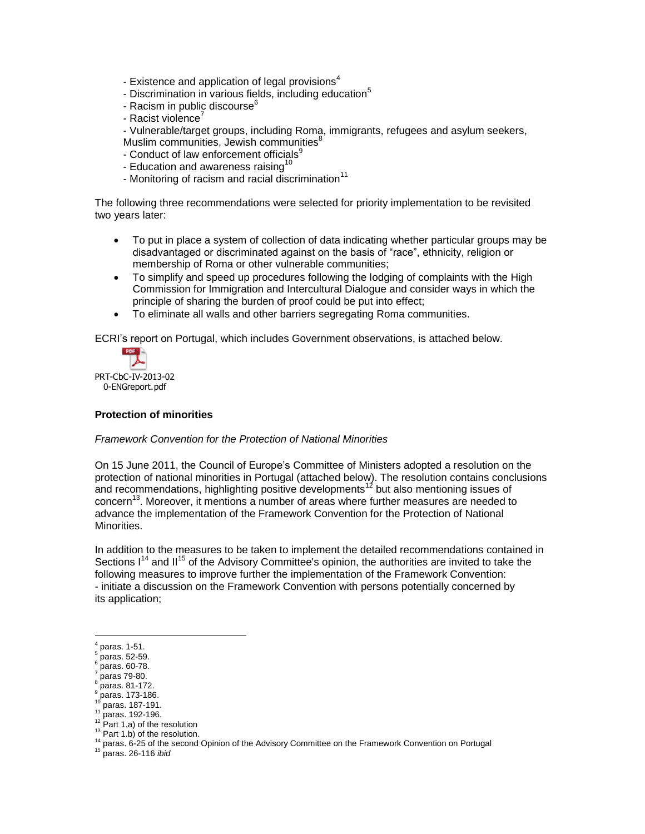- Existence and application of legal provisions $4$
- Discrimination in various fields, including education<sup>5</sup>
- Racism in public discourse $6$
- Racist violence $<sup>7</sup>$ </sup>
- Vulnerable/target groups, including Roma, immigrants, refugees and asylum seekers,

Muslim communities, Jewish communities<sup>8</sup>

- Conduct of law enforcement officials<sup>9</sup>
- Education and awareness raising<sup>10</sup>
- Monitoring of racism and racial discrimination $11$

The following three recommendations were selected for priority implementation to be revisited two years later:

- To put in place a system of collection of data indicating whether particular groups may be disadvantaged or discriminated against on the basis of "race", ethnicity, religion or membership of Roma or other vulnerable communities;
- To simplify and speed up procedures following the lodging of complaints with the High Commission for Immigration and Intercultural Dialogue and consider ways in which the principle of sharing the burden of proof could be put into effect;
- To eliminate all walls and other barriers segregating Roma communities.

ECRI's report on Portugal, which includes Government observations, is attached below.



0-ENGreport.pdf

### **Protection of minorities**

### *Framework Convention for the Protection of National Minorities*

On 15 June 2011, the Council of Europe's Committee of Ministers adopted a resolution on the protection of national minorities in Portugal (attached below). The resolution contains conclusions and recommendations, highlighting positive developments<sup>12</sup> but also mentioning issues of concern<sup>13</sup>. Moreover, it mentions a number of areas where further measures are needed to advance the implementation of the Framework Convention for the Protection of National Minorities.

In addition to the measures to be taken to implement the detailed recommendations contained in Sections  $1<sup>14</sup>$  and  $II<sup>15</sup>$  of the Advisory Committee's opinion, the authorities are invited to take the following measures to improve further the implementation of the Framework Convention: - initiate a discussion on the Framework Convention with persons potentially concerned by its application;

<sup>4</sup> paras. 1-51.

<sup>5</sup> paras. 52-59. 6

paras. 60-78. 7

paras 79-80. 8

paras. 81-172.

<sup>&</sup>lt;sup>9</sup> paras. 173-186. paras. 187-191.

 $11$  paras. 192-196.

 $12$  Part 1.a) of the resolution

 $13$  Part 1.b) of the resolution.

<sup>&</sup>lt;sup>14</sup> paras. 6-25 of the second Opinion of the Advisory Committee on the Framework Convention on Portugal

<sup>15</sup> paras. 26-116 *ibid*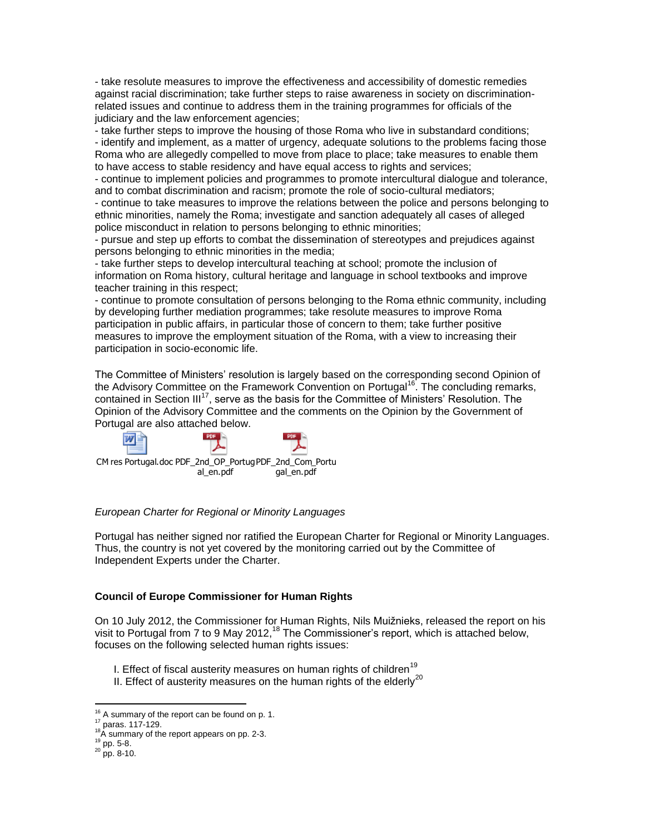- take resolute measures to improve the effectiveness and accessibility of domestic remedies against racial discrimination; take further steps to raise awareness in society on discriminationrelated issues and continue to address them in the training programmes for officials of the judiciary and the law enforcement agencies;

- take further steps to improve the housing of those Roma who live in substandard conditions; - identify and implement, as a matter of urgency, adequate solutions to the problems facing those Roma who are allegedly compelled to move from place to place; take measures to enable them to have access to stable residency and have equal access to rights and services;

- continue to implement policies and programmes to promote intercultural dialogue and tolerance, and to combat discrimination and racism; promote the role of socio-cultural mediators;

- continue to take measures to improve the relations between the police and persons belonging to ethnic minorities, namely the Roma; investigate and sanction adequately all cases of alleged police misconduct in relation to persons belonging to ethnic minorities;

- pursue and step up efforts to combat the dissemination of stereotypes and prejudices against persons belonging to ethnic minorities in the media;

- take further steps to develop intercultural teaching at school; promote the inclusion of information on Roma history, cultural heritage and language in school textbooks and improve teacher training in this respect;

- continue to promote consultation of persons belonging to the Roma ethnic community, including by developing further mediation programmes; take resolute measures to improve Roma participation in public affairs, in particular those of concern to them; take further positive measures to improve the employment situation of the Roma, with a view to increasing their participation in socio-economic life.

The Committee of Ministers' resolution is largely based on the corresponding second Opinion of the Advisory Committee on the Framework Convention on Portugal<sup>16</sup>. The concluding remarks, contained in Section III<sup>17</sup>, serve as the basis for the Committee of Ministers' Resolution. The Opinion of the Advisory Committee and the comments on the Opinion by the Government of Portugal are also attached below.



#### *European Charter for Regional or Minority Languages*

Portugal has neither signed nor ratified the European Charter for Regional or Minority Languages. Thus, the country is not yet covered by the monitoring carried out by the Committee of Independent Experts under the Charter.

#### **Council of Europe Commissioner for Human Rights**

On 10 July 2012, the Commissioner for Human Rights, Nils Muižnieks, released the [report](https://wcd.coe.int/ViewDoc.jsp?id=1909623) on his visit to Portugal from 7 to 9 May 2012,<sup>18</sup> The Commissioner's report, which is attached below, focuses on the following selected human rights issues:

I. Effect of fiscal austerity measures on human rights of children<sup>19</sup>

II. Effect of austerity measures on the human rights of the elderly $^{20}$ 

 $16$  A summary of the report can be found on p. 1.

<sup>17</sup> paras. 117-129.

<sup>&</sup>lt;sup>18</sup>A summary of the report appears on pp. 2-3.

 $^{19}$  pp. 5-8.

 $^{20}$  pp. 8-10.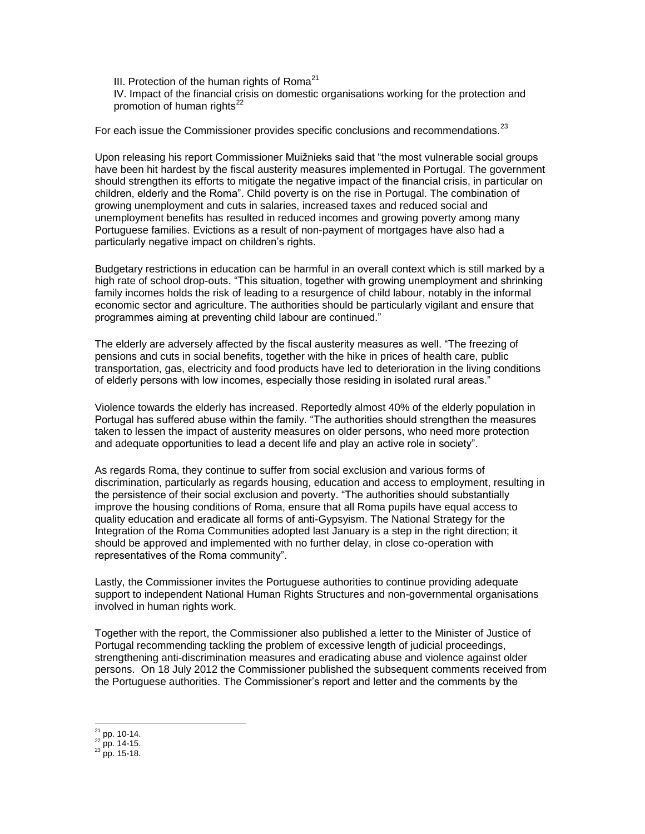III. Protection of the human rights of Roma $21$ 

IV. Impact of the financial crisis on domestic organisations working for the protection and promotion of human rights<sup>22</sup>

For each issue the Commissioner provides specific conclusions and recommendations.<sup>23</sup>

Upon releasing his report Commissioner Muižnieks said that "the most vulnerable social groups have been hit hardest by the fiscal austerity measures implemented in Portugal. The government should strengthen its efforts to mitigate the negative impact of the financial crisis, in particular on children, elderly and the Roma". Child poverty is on the rise in Portugal. The combination of growing unemployment and cuts in salaries, increased taxes and reduced social and unemployment benefits has resulted in reduced incomes and growing poverty among many Portuguese families. Evictions as a result of non-payment of mortgages have also had a particularly negative impact on children's rights.

Budgetary restrictions in education can be harmful in an overall context which is still marked by a high rate of school drop-outs. "This situation, together with growing unemployment and shrinking family incomes holds the risk of leading to a resurgence of child labour, notably in the informal economic sector and agriculture. The authorities should be particularly vigilant and ensure that programmes aiming at preventing child labour are continued."

The elderly are adversely affected by the fiscal austerity measures as well. "The freezing of pensions and cuts in social benefits, together with the hike in prices of health care, public transportation, gas, electricity and food products have led to deterioration in the living conditions of elderly persons with low incomes, especially those residing in isolated rural areas."

Violence towards the elderly has increased. Reportedly almost 40% of the elderly population in Portugal has suffered abuse within the family. "The authorities should strengthen the measures taken to lessen the impact of austerity measures on older persons, who need more protection and adequate opportunities to lead a decent life and play an active role in society".

As regards Roma, they continue to suffer from social exclusion and various forms of discrimination, particularly as regards housing, education and access to employment, resulting in the persistence of their social exclusion and poverty. "The authorities should substantially improve the housing conditions of Roma, ensure that all Roma pupils have equal access to quality education and eradicate all forms of anti-Gypsyism. The National Strategy for the Integration of the Roma Communities adopted last January is a step in the right direction; it should be approved and implemented with no further delay, in close co-operation with representatives of the Roma community".

Lastly, the Commissioner invites the Portuguese authorities to continue providing adequate support to independent National Human Rights Structures and non-governmental organisations involved in human rights work.

Together with the report, the Commissioner also published a letter to the Minister of Justice of Portugal recommending tackling the problem of excessive length of judicial proceedings, strengthening anti-discrimination measures and eradicating abuse and violence against older persons. On 18 July 2012 the Commissioner published the subsequent comments received from the Portuguese authorities. The Commissioner's report and letter and the comments by the

 $^{21}$  pp. 10-14.

 $^{22}$  pp. 14-15.

 $^{23}$  pp. 15-18.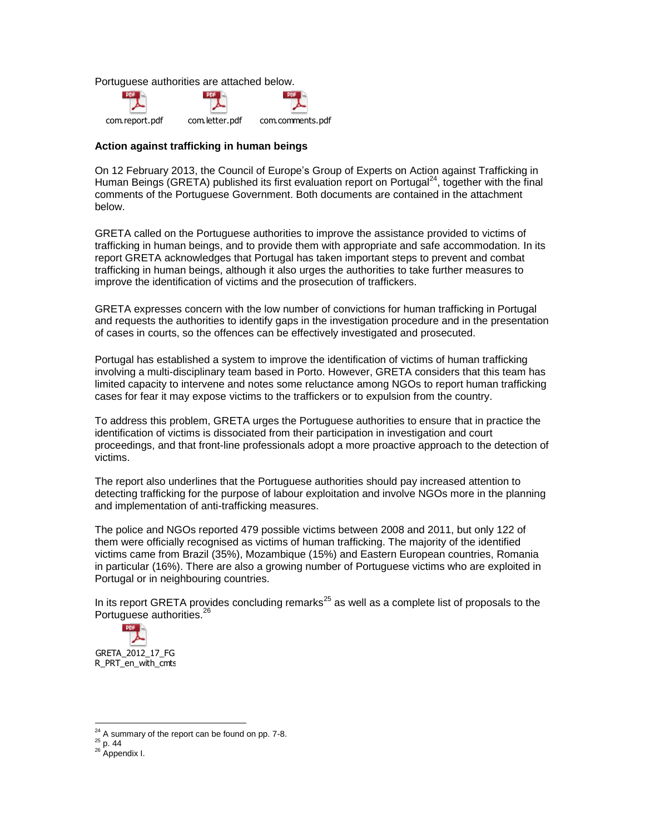Portuguese authorities are attached below.



### **Action against trafficking in human beings**

On 12 February 2013, the Council of Europe's Group of Experts on Action against Trafficking in Human Beings (GRETA) published its first evaluation report on Portugal<sup>24</sup>, together with the final comments of the Portuguese Government. Both documents are contained in the attachment below.

GRETA called on the Portuguese authorities to improve the assistance provided to victims of trafficking in human beings, and to provide them with appropriate and safe accommodation. In its report GRETA acknowledges that Portugal has taken important steps to prevent and combat trafficking in human beings, although it also urges the authorities to take further measures to improve the identification of victims and the prosecution of traffickers.

GRETA expresses concern with the low number of convictions for human trafficking in Portugal and requests the authorities to identify gaps in the investigation procedure and in the presentation of cases in courts, so the offences can be effectively investigated and prosecuted.

Portugal has established a system to improve the identification of victims of human trafficking involving a multi-disciplinary team based in Porto. However, GRETA considers that this team has limited capacity to intervene and notes some reluctance among NGOs to report human trafficking cases for fear it may expose victims to the traffickers or to expulsion from the country.

To address this problem, GRETA urges the Portuguese authorities to ensure that in practice the identification of victims is dissociated from their participation in investigation and court proceedings, and that front-line professionals adopt a more proactive approach to the detection of victims.

The report also underlines that the Portuguese authorities should pay increased attention to detecting trafficking for the purpose of labour exploitation and involve NGOs more in the planning and implementation of anti-trafficking measures.

The police and NGOs reported 479 possible victims between 2008 and 2011, but only 122 of them were officially recognised as victims of human trafficking. The majority of the identified victims came from Brazil (35%), Mozambique (15%) and Eastern European countries, Romania in particular (16%). There are also a growing number of Portuguese victims who are exploited in Portugal or in neighbouring countries.

In its report GRETA provides concluding remarks<sup>25</sup> as well as a complete list of proposals to the Portuguese authorities.<sup>26</sup>



 $24$  A summary of the report can be found on pp. 7-8.

 $^{25}$  p. 44

<sup>26</sup> Appendix I.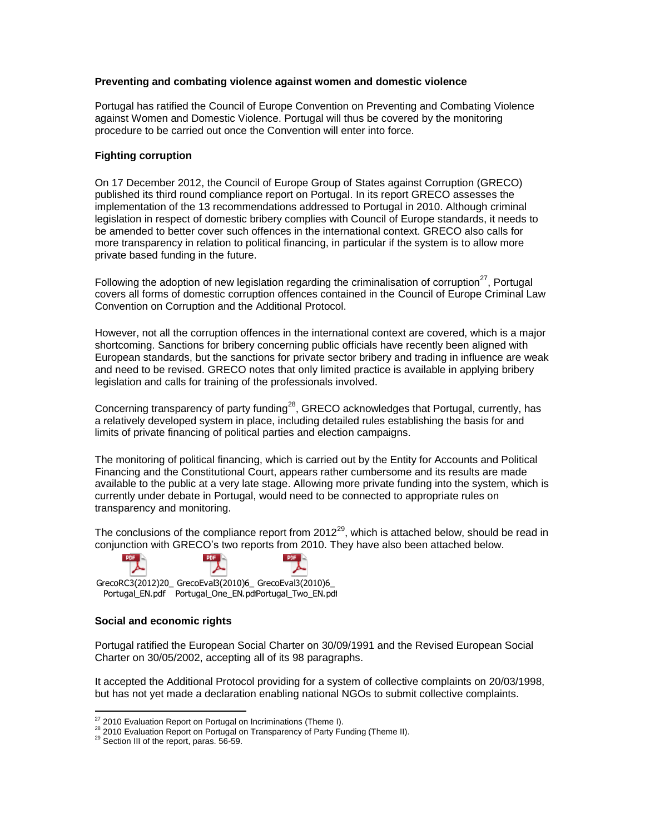### **Preventing and combating violence against women and domestic violence**

Portugal has ratified the Council of Europe Convention on Preventing and Combating Violence against Women and Domestic Violence. Portugal will thus be covered by the monitoring procedure to be carried out once the Convention will enter into force.

## **Fighting corruption**

On 17 December 2012, the Council of Europe Group of States against Corruption (GRECO) published its third round compliance report on Portugal. In its report GRECO assesses the implementation of the 13 recommendations addressed to Portugal in 2010. Although criminal legislation in respect of domestic bribery complies with Council of Europe standards, it needs to be amended to better cover such offences in the international context. GRECO also calls for more transparency in relation to political financing, in particular if the system is to allow more private based funding in the future.

Following the adoption of new legislation regarding the criminalisation of corruption<sup>27</sup>, Portugal covers all forms of domestic corruption offences contained in the [Council of Europe Criminal Law](http://conventions.coe.int/Treaty/Commun/ListeTraites.asp?MA=999&TI=criminal+law+convention+on+corruption&LO=999&AO=&AV=&CM=2&CL=ENG)  [Convention on Corruption](http://conventions.coe.int/Treaty/Commun/ListeTraites.asp?MA=999&TI=criminal+law+convention+on+corruption&LO=999&AO=&AV=&CM=2&CL=ENG) and the Additional Protocol.

However, not all the corruption offences in the international context are covered, which is a major shortcoming. Sanctions for bribery concerning public officials have recently been aligned with European standards, but the sanctions for private sector bribery and trading in influence are weak and need to be revised. GRECO notes that only limited practice is available in applying bribery legislation and calls for training of the professionals involved.

Concerning transparency of party funding<sup>28</sup>, GRECO acknowledges that Portugal, currently, has a relatively developed system in place, including detailed rules establishing the basis for and limits of private financing of political parties and election campaigns.

The monitoring of political financing, which is carried out by the Entity for Accounts and Political Financing and the Constitutional Court, appears rather cumbersome and its results are made available to the public at a very late stage. Allowing more private funding into the system, which is currently under debate in Portugal, would need to be connected to appropriate rules on transparency and monitoring.

The conclusions of the compliance report from 2012<sup>29</sup>, which is attached below, should be read in conjunction with GRECO's two reports from 2010. They have also been attached below.



Portugal\_EN.pdf Portugal\_One\_EN.pdPortugal\_Two\_EN.pdi

### **Social and economic rights**

Portugal ratified the European Social Charter on 30/09/1991 and the Revised European Social Charter on 30/05/2002, accepting all of its 98 paragraphs.

It accepted the Additional Protocol providing for a system of collective complaints on 20/03/1998, but has not yet made a declaration enabling national NGOs to submit collective complaints.

 $\overline{a}$  $27$  2010 Evaluation Report on Portugal on Incriminations (Theme I).

<sup>&</sup>lt;sup>28</sup> 2010 Evaluation Report on Portugal on Transparency of Party Funding (Theme II).

 $29$  Section III of the report, paras. 56-59.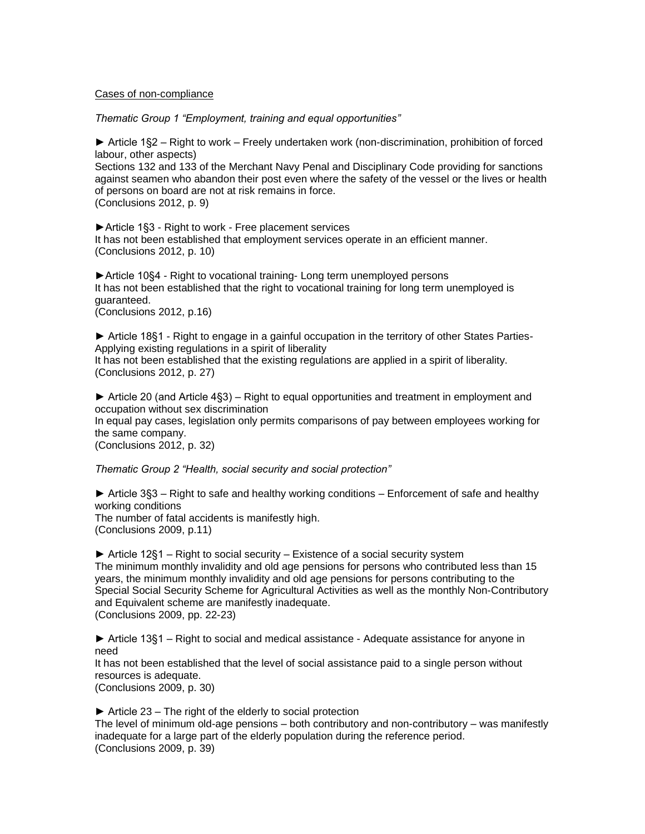#### Cases of non-compliance

*Thematic Group 1 "Employment, training and equal opportunities"* 

► Article 1§2 – Right to work – Freely undertaken work (non-discrimination, prohibition of forced labour, other aspects)

Sections 132 and 133 of the Merchant Navy Penal and Disciplinary Code providing for sanctions against seamen who abandon their post even where the safety of the vessel or the lives or health of persons on board are not at risk remains in force.

(Conclusions 2012, p. 9)

►Article 1§3 - Right to work - Free placement services It has not been established that employment services operate in an efficient manner. (Conclusions 2012, p. 10)

►Article 10§4 - Right to vocational training- Long term unemployed persons It has not been established that the right to vocational training for long term unemployed is guaranteed.

(Conclusions 2012, p.16)

► Article 18§1 - Right to engage in a gainful occupation in the territory of other States Parties-Applying existing regulations in a spirit of liberality It has not been established that the existing regulations are applied in a spirit of liberality. (Conclusions 2012, p. 27)

► Article 20 (and Article 4§3) – Right to equal opportunities and treatment in employment and occupation without sex discrimination In equal pay cases, legislation only permits comparisons of pay between employees working for the same company. (Conclusions 2012, p. 32)

*Thematic Group 2 "Health, social security and social protection"* 

► Article 3§3 – Right to safe and healthy working conditions – Enforcement of safe and healthy working conditions The number of fatal accidents is manifestly high. (Conclusions 2009, p.11)

► Article 12§1 – Right to social security – Existence of a social security system The minimum monthly invalidity and old age pensions for persons who contributed less than 15 years, the minimum monthly invalidity and old age pensions for persons contributing to the Special Social Security Scheme for Agricultural Activities as well as the monthly Non-Contributory and Equivalent scheme are manifestly inadequate. (Conclusions 2009, pp. 22-23)

► Article 13§1 – Right to social and medical assistance - Adequate assistance for anyone in need

It has not been established that the level of social assistance paid to a single person without resources is adequate.

(Conclusions 2009, p. 30)

 $\triangleright$  Article 23 – The right of the elderly to social protection The level of minimum old-age pensions – both contributory and non-contributory – was manifestly inadequate for a large part of the elderly population during the reference period. (Conclusions 2009, p. 39)